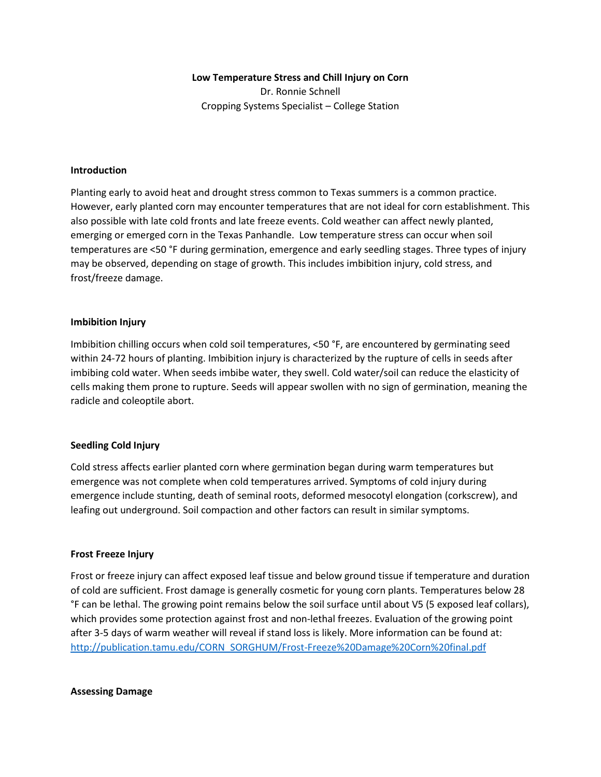## **Low Temperature Stress and Chill Injury on Corn**

Dr. Ronnie Schnell Cropping Systems Specialist – College Station

### **Introduction**

Planting early to avoid heat and drought stress common to Texas summers is a common practice. However, early planted corn may encounter temperatures that are not ideal for corn establishment. This also possible with late cold fronts and late freeze events. Cold weather can affect newly planted, emerging or emerged corn in the Texas Panhandle. Low temperature stress can occur when soil temperatures are <50 °F during germination, emergence and early seedling stages. Three types of injury may be observed, depending on stage of growth. This includes imbibition injury, cold stress, and frost/freeze damage.

## **Imbibition Injury**

Imbibition chilling occurs when cold soil temperatures, <50 °F, are encountered by germinating seed within 24-72 hours of planting. Imbibition injury is characterized by the rupture of cells in seeds after imbibing cold water. When seeds imbibe water, they swell. Cold water/soil can reduce the elasticity of cells making them prone to rupture. Seeds will appear swollen with no sign of germination, meaning the radicle and coleoptile abort.

# **Seedling Cold Injury**

Cold stress affects earlier planted corn where germination began during warm temperatures but emergence was not complete when cold temperatures arrived. Symptoms of cold injury during emergence include stunting, death of seminal roots, deformed mesocotyl elongation (corkscrew), and leafing out underground. Soil compaction and other factors can result in similar symptoms.

#### **Frost Freeze Injury**

Frost or freeze injury can affect exposed leaf tissue and below ground tissue if temperature and duration of cold are sufficient. Frost damage is generally cosmetic for young corn plants. Temperatures below 28 °F can be lethal. The growing point remains below the soil surface until about V5 (5 exposed leaf collars), which provides some protection against frost and non-lethal freezes. Evaluation of the growing point after 3-5 days of warm weather will reveal if stand loss is likely. More information can be found at: [http://publication.tamu.edu/CORN\\_SORGHUM/Frost-Freeze%20Damage%20Corn%20final.pdf](http://publication.tamu.edu/CORN_SORGHUM/Frost-Freeze%20Damage%20Corn%20final.pdf)

**Assessing Damage**